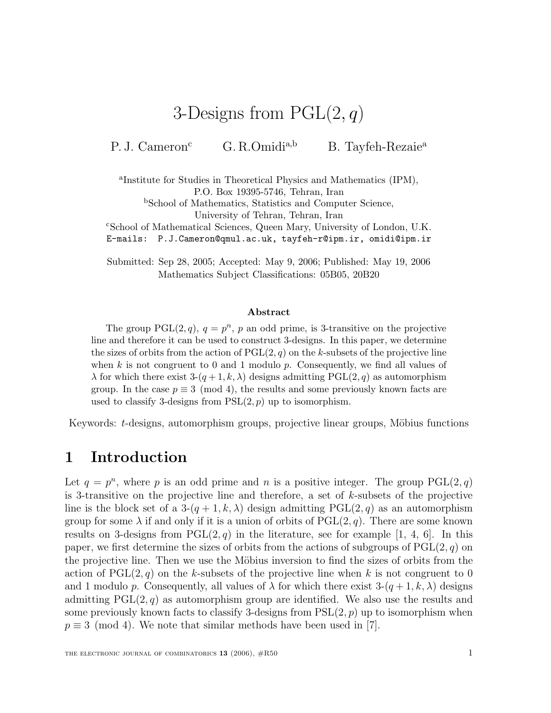# 3-Designs from  $PGL(2, q)$

P. J. Cameron<sup>c</sup> G. R.Omidi<sup>a,b</sup> B. Tayfeh-Rezaie<sup>a</sup>

<sup>a</sup>Institute for Studies in Theoretical Physics and Mathematics (IPM), P.O. Box 19395-5746, Tehran, Iran

<sup>b</sup>School of Mathematics, Statistics and Computer Science,

University of Tehran, Tehran, Iran

<sup>c</sup>School of Mathematical Sciences, Queen Mary, University of London, U.K.

E-mails: P.J.Cameron@qmul.ac.uk, tayfeh-r@ipm.ir, omidi@ipm.ir

Submitted: Sep 28, 2005; Accepted: May 9, 2006; Published: May 19, 2006 Mathematics Subject Classifications: 05B05, 20B20

#### **Abstract**

The group PGL $(2, q)$ ,  $q = p^n$ , p an odd prime, is 3-transitive on the projective line and therefore it can be used to construct 3-designs. In this paper, we determine the sizes of orbits from the action of  $PGL(2, q)$  on the k-subsets of the projective line when k is not congruent to 0 and 1 modulo  $p$ . Consequently, we find all values of  $\lambda$  for which there exist  $3-(q+1,k,\lambda)$  designs admitting PGL(2, q) as automorphism group. In the case  $p \equiv 3 \pmod{4}$ , the results and some previously known facts are used to classify 3-designs from  $PSL(2, p)$  up to isomorphism.

Keywords: t-designs, automorphism groups, projective linear groups, Möbius functions

# **1 Introduction**

Let  $q = p^n$ , where p is an odd prime and n is a positive integer. The group PGL(2,q) is 3-transitive on the projective line and therefore, a set of k-subsets of the projective line is the block set of a  $3-(q+1, k, \lambda)$  design admitting  $PGL(2,q)$  as an automorphism group for some  $\lambda$  if and only if it is a union of orbits of PGL(2, q). There are some known results on 3-designs from  $PGL(2, q)$  in the literature, see for example [1, 4, 6]. In this paper, we first determine the sizes of orbits from the actions of subgroups of  $PGL(2, q)$  on the projective line. Then we use the Möbius inversion to find the sizes of orbits from the action of  $PGL(2, q)$  on the k-subsets of the projective line when k is not congruent to 0 and 1 modulo p. Consequently, all values of  $\lambda$  for which there exist  $3-(q+1, k, \lambda)$  designs admitting  $PGL(2, q)$  as automorphism group are identified. We also use the results and some previously known facts to classify 3-designs from  $PSL(2, p)$  up to isomorphism when  $p \equiv 3 \pmod{4}$ . We note that similar methods have been used in [7].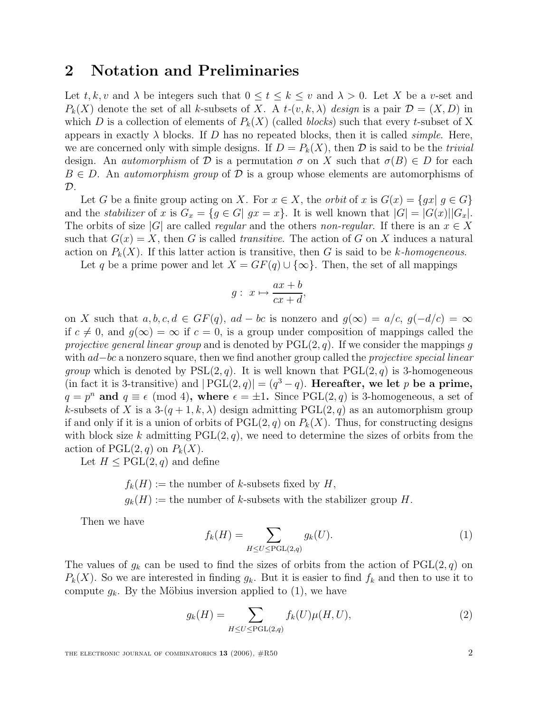### **2 Notation and Preliminaries**

Let t, k, v and  $\lambda$  be integers such that  $0 \le t \le k \le v$  and  $\lambda > 0$ . Let X be a v-set and  $P_k(X)$  denote the set of all k-subsets of X. A t- $(v, k, \lambda)$  design is a pair  $\mathcal{D} = (X, D)$  in which D is a collection of elements of  $P_k(X)$  (called *blocks*) such that every t-subset of X appears in exactly  $\lambda$  blocks. If D has no repeated blocks, then it is called *simple*. Here, we are concerned only with simple designs. If  $D = P_k(X)$ , then  $D$  is said to be the *trivial* design. An *automorphism* of D is a permutation  $\sigma$  on X such that  $\sigma(B) \in D$  for each  $B \in D$ . An *automorphism group* of  $D$  is a group whose elements are automorphisms of  $\mathcal{D}$ .

Let G be a finite group acting on X. For  $x \in X$ , the *orbit* of x is  $G(x) = \{gx | g \in G\}$ and the *stabilizer* of x is  $G_x = \{g \in G | gx = x\}$ . It is well known that  $|G| = |G(x)||G_x|$ . The orbits of size |G| are called regular and the others non-regular. If there is an  $x \in X$ such that  $G(x) = X$ , then G is called *transitive*. The action of G on X induces a natural action on  $P_k(X)$ . If this latter action is transitive, then G is said to be k-homogeneous.

Let q be a prime power and let  $X = GF(q) \cup {\infty}$ . Then, the set of all mappings

$$
g: x \mapsto \frac{ax+b}{cx+d},
$$

on X such that  $a, b, c, d \in GF(q)$ ,  $ad - bc$  is nonzero and  $g(\infty) = a/c$ ,  $g(-d/c) = \infty$ if  $c \neq 0$ , and  $q(\infty) = \infty$  if  $c = 0$ , is a group under composition of mappings called the projective general linear group and is denoted by  $PGL(2, q)$ . If we consider the mappings g with ad–bc a nonzero square, then we find another group called the *projective special linear group* which is denoted by  $PSL(2, q)$ . It is well known that  $PGL(2, q)$  is 3-homogeneous (in fact it is 3-transitive) and  $|PGL(2,q)| = (q^3 - q)$ . **Hereafter, we let** p be a prime,  $q = p^n$  and  $q \equiv \epsilon \pmod{4}$ , where  $\epsilon = \pm 1$ . Since PGL(2, q) is 3-homogeneous, a set of k-subsets of X is a  $3-(q+1,k,\lambda)$  design admitting PGL $(2,q)$  as an automorphism group if and only if it is a union of orbits of  $PGL(2, q)$  on  $P_k(X)$ . Thus, for constructing designs with block size k admitting  $PGL(2, q)$ , we need to determine the sizes of orbits from the action of  $PGL(2,q)$  on  $P_k(X)$ .

Let  $H \leq \text{PGL}(2,q)$  and define

 $f_k(H) :=$  the number of k-subsets fixed by H,

 $g_k(H) :=$  the number of k-subsets with the stabilizer group H.

Then we have

$$
f_k(H) = \sum_{H \le U \le \text{PGL}(2,q)} g_k(U). \tag{1}
$$

The values of  $g_k$  can be used to find the sizes of orbits from the action of  $PGL(2,q)$  on  $P_k(X)$ . So we are interested in finding  $g_k$ . But it is easier to find  $f_k$  and then to use it to compute  $g_k$ . By the Möbius inversion applied to (1), we have

$$
g_k(H) = \sum_{H \le U \le \text{PGL}(2,q)} f_k(U)\mu(H, U),\tag{2}
$$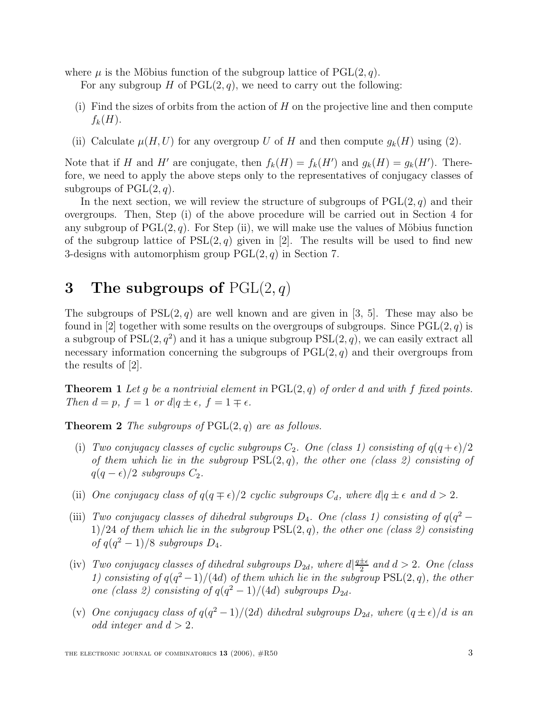where  $\mu$  is the Möbius function of the subgroup lattice of PGL $(2, q)$ .

For any subgroup H of  $PGL(2, q)$ , we need to carry out the following:

- (i) Find the sizes of orbits from the action of  $H$  on the projective line and then compute  $f_k(H)$ .
- (ii) Calculate  $\mu(H, U)$  for any overgroup U of H and then compute  $g_k(H)$  using (2).

Note that if H and H' are conjugate, then  $f_k(H) = f_k(H')$  and  $g_k(H) = g_k(H')$ . Therefore, we need to apply the above steps only to the representatives of conjugacy classes of subgroups of  $PGL(2,q)$ .

In the next section, we will review the structure of subgroups of  $PGL(2, q)$  and their overgroups. Then, Step (i) of the above procedure will be carried out in Section 4 for any subgroup of  $PGL(2, q)$ . For Step (ii), we will make use the values of Möbius function of the subgroup lattice of  $PSL(2,q)$  given in [2]. The results will be used to find new 3-designs with automorphism group  $PGL(2, q)$  in Section 7.

# **3 The subgroups of** PGL(2, q)

The subgroups of  $PSL(2, q)$  are well known and are given in [3, 5]. These may also be found in [2] together with some results on the overgroups of subgroups. Since  $PGL(2, q)$  is a subgroup of  $PSL(2, q^2)$  and it has a unique subgroup  $PSL(2, q)$ , we can easily extract all necessary information concerning the subgroups of  $PGL(2, q)$  and their overgroups from the results of [2].

**Theorem 1** Let q be a nontrivial element in  $PGL(2,q)$  of order d and with f fixed points. Then  $d = p$ ,  $f = 1$  or  $d|q \pm \epsilon$ ,  $f = 1 \mp \epsilon$ .

**Theorem 2** The subgroups of  $PGL(2,q)$  are as follows.

- (i) Two conjugacy classes of cyclic subgroups  $C_2$ . One (class 1) consisting of  $q(q+\epsilon)/2$ of them which lie in the subgroup  $PSL(2,q)$ , the other one (class 2) consisting of  $q(q - \epsilon)/2$  subgroups  $C_2$ .
- (ii) One conjugacy class of  $q(q \mp \epsilon)/2$  cyclic subgroups  $C_d$ , where  $d|q \pm \epsilon$  and  $d > 2$ .
- (iii) Two conjugacy classes of dihedral subgroups  $D_4$ . One (class 1) consisting of  $q(q^2 1)/24$  of them which lie in the subgroup  $PSL(2, q)$ , the other one (class 2) consisting of  $q(q^2-1)/8$  subgroups  $D_4$ .
- (iv) Two conjugacy classes of dihedral subgroups  $D_{2d}$ , where  $d|\frac{q\pm\epsilon}{2}|$  and  $d > 2$ . One (class 1) consisting of  $q(q^2-1)/(4d)$  of them which lie in the subgroup  $PSL(2, q)$ , the other one (class 2) consisting of  $q(q^2-1)/(4d)$  subgroups  $D_{2d}$ .
- (v) One conjugacy class of  $q(q^2-1)/(2d)$  dihedral subgroups  $D_{2d}$ , where  $(q \pm \epsilon)/d$  is an odd integer and  $d > 2$ .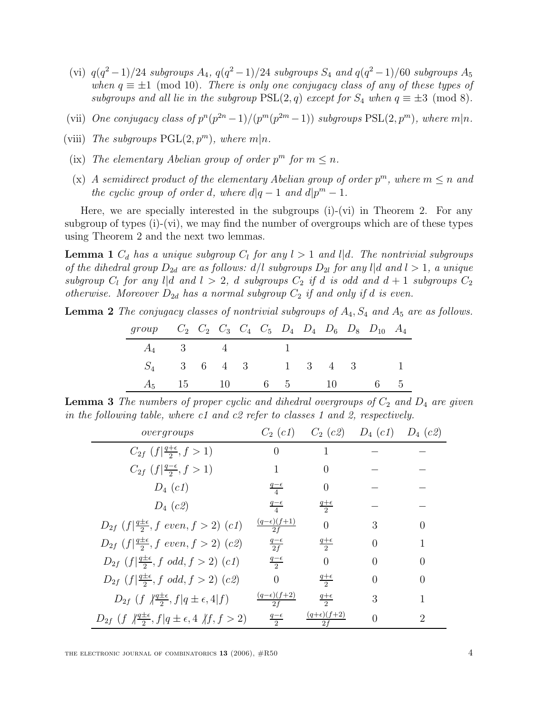- (vi)  $q(q^2-1)/24$  subgroups  $A_4$ ,  $q(q^2-1)/24$  subgroups  $S_4$  and  $q(q^2-1)/60$  subgroups  $A_5$ when  $q \equiv \pm 1 \pmod{10}$ . There is only one conjugacy class of any of these types of subgroups and all lie in the subgroup  $PSL(2, q)$  except for  $S_4$  when  $q \equiv \pm 3 \pmod{8}$ .
- (vii) One conjugacy class of  $p^{n}(p^{2n}-1)/(p^{m}(p^{2m}-1))$  subgroups  $PSL(2, p^{m})$ , where  $m|n$ .
- (viii) The subgroups  $PGL(2, p^m)$ , where  $m|n$ .
- (ix) The elementary Abelian group of order  $p^m$  for  $m \leq n$ .
- (x) A semidirect product of the elementary Abelian group of order  $p^m$ , where  $m \leq n$  and the cyclic group of order d, where  $d|q-1$  and  $d|p^m-1$ .

Here, we are specially interested in the subgroups (i)-(vi) in Theorem 2. For any subgroup of types (i)-(vi), we may find the number of overgroups which are of these types using Theorem 2 and the next two lemmas.

**Lemma 1**  $C_d$  has a unique subgroup  $C_l$  for any  $l > 1$  and  $l | d$ . The nontrivial subgroups of the dihedral group  $D_{2d}$  are as follows:  $d/l$  subgroups  $D_{2l}$  for any  $l|d$  and  $l>1$ , a unique subgroup  $C_l$  for any l|d and  $l > 2$ , d subgroups  $C_2$  if d is odd and  $d+1$  subgroups  $C_2$ otherwise. Moreover  $D_{2d}$  has a normal subgroup  $C_2$  if and only if d is even.

**Lemma 2** The conjugacy classes of nontrivial subgroups of  $A_4$ ,  $S_4$  and  $A_5$  are as follows.

| group $C_2$ $C_2$ $C_3$ $C_4$ $C_5$ $D_4$ $D_4$ $D_6$ $D_8$ $D_{10}$ $A_4$ |  |  |  |  |  |  |
|----------------------------------------------------------------------------|--|--|--|--|--|--|
| $A_4$ 3 4 1                                                                |  |  |  |  |  |  |
| $S_4$ 3 6 4 3 1 3 4 3 1                                                    |  |  |  |  |  |  |
| $A_5$ 15 10 6 5 10 6 5                                                     |  |  |  |  |  |  |

**Lemma 3** The numbers of proper cyclic and dihedral overgroups of  $C_2$  and  $D_4$  are given in the following table, where c1 and c2 refer to classes 1 and 2, respectively.

| over groups                                                                           | $C_2$ (c1)                             | $C_2$ (c2)                            | $D_4$ (c1) $D_4$ (c2) |                  |
|---------------------------------------------------------------------------------------|----------------------------------------|---------------------------------------|-----------------------|------------------|
| $C_{2f}$ $(f   \frac{q+\epsilon}{2}, f > 1)$                                          | $\Omega$                               |                                       |                       |                  |
| $C_{2f}$ $(f   \frac{q-\epsilon}{2}, f > 1)$                                          | 1                                      | $\left( \right)$                      |                       |                  |
| $D_4$ (c1)                                                                            | $rac{q-\epsilon}{4}$                   | 0                                     |                       |                  |
| $D_4$ (c2)                                                                            | $rac{q-\epsilon}{4}$                   | $\frac{q+\epsilon}{2}$                |                       |                  |
| $D_{2f}$ $(f \frac{q\pm\epsilon}{2}, f \text{ even}, f > 2)$ $(c1)$                   | $\frac{(q-\epsilon)(f+1)}{2f}$         | $\theta$                              | 3                     | 0                |
| $D_{2f}$ $(f \frac{q\pm\epsilon}{2}, f \text{ even}, f > 2)$ $(c2)$                   | $rac{q-\epsilon}{2f}$                  | $rac{q+\epsilon}{2}$                  | $\Omega$              | 1                |
| $D_{2f}$ $(f \frac{q\pm\epsilon}{2}, f \text{ odd}, f > 2)$ $(c1)$                    | $\frac{q-\epsilon}{2}$                 | $\overline{0}$                        | 0                     | $\left( \right)$ |
| $D_{2f}$ $(f \frac{q\pm\epsilon}{2}, f \text{ odd}, f > 2)$ $(c2)$                    | $\Omega$                               | $rac{q+\epsilon}{2}$                  | $\theta$              | 0                |
| $D_{2f}$ $(f \sqrt{\frac{q\pm\epsilon}{2}}, f   q \pm \epsilon, 4   f)$               | $(q-\epsilon)(f+2)$<br>$\overline{2f}$ | $rac{q+\epsilon}{2}$                  | 3                     |                  |
| $D_{2f}$ (f $\sqrt[4]{\frac{q+\epsilon}{2}}, f q \pm \epsilon, 4 \sqrt[4]{f}, f > 2)$ | $rac{q-\epsilon}{2}$                   | $\frac{(q+\epsilon)(f+2)}{g+2}$<br>2f |                       | $\mathcal{D}$    |

THE ELECTRONIC JOURNAL OF COMBINATORICS  $13$  (2006),  $\#R50$   $4$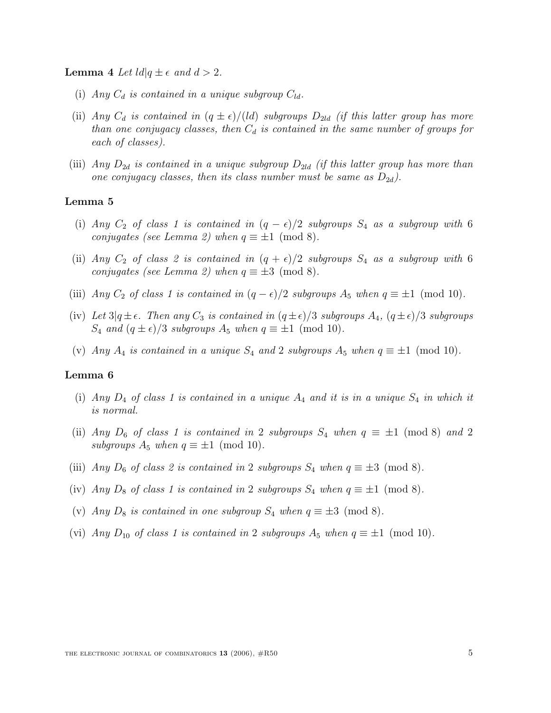**Lemma** 4 Let  $\text{Id}|q \pm \epsilon$  and  $d > 2$ .

- (i) Any  $C_d$  is contained in a unique subgroup  $C_{ld}$ .
- (ii) Any  $C_d$  is contained in  $(q \pm \epsilon)/(ld)$  subgroups  $D_{2ld}$  (if this latter group has more than one conjugacy classes, then  $C_d$  is contained in the same number of groups for each of classes).
- (iii) Any  $D_{2d}$  is contained in a unique subgroup  $D_{2ld}$  (if this latter group has more than one conjugacy classes, then its class number must be same as  $D_{2d}$ ).

#### **Lemma 5**

- (i) Any  $C_2$  of class 1 is contained in  $(q \epsilon)/2$  subgroups  $S_4$  as a subgroup with 6 conjugates (see Lemma 2) when  $q \equiv \pm 1 \pmod{8}$ .
- (ii) Any  $C_2$  of class 2 is contained in  $(q + \epsilon)/2$  subgroups  $S_4$  as a subgroup with 6 conjugates (see Lemma 2) when  $q \equiv \pm 3 \pmod{8}$ .
- (iii) Any  $C_2$  of class 1 is contained in  $(q \epsilon)/2$  subgroups  $A_5$  when  $q \equiv \pm 1 \pmod{10}$ .
- (iv) Let  $3|q \pm \epsilon$ . Then any  $C_3$  is contained in  $(q \pm \epsilon)/3$  subgroups  $A_4$ ,  $(q \pm \epsilon)/3$  subgroups  $S_4$  and  $(q \pm \epsilon)/3$  subgroups  $A_5$  when  $q \equiv \pm 1 \pmod{10}$ .
- (v) Any  $A_4$  is contained in a unique  $S_4$  and 2 subgroups  $A_5$  when  $q \equiv \pm 1 \pmod{10}$ .

#### **Lemma 6**

- (i) Any  $D_4$  of class 1 is contained in a unique  $A_4$  and it is in a unique  $S_4$  in which it is normal.
- (ii) Any  $D_6$  of class 1 is contained in 2 subgroups  $S_4$  when  $q \equiv \pm 1 \pmod{8}$  and 2 subgroups  $A_5$  when  $q \equiv \pm 1 \pmod{10}$ .
- (iii) Any  $D_6$  of class 2 is contained in 2 subgroups  $S_4$  when  $q \equiv \pm 3 \pmod{8}$ .
- (iv) Any  $D_8$  of class 1 is contained in 2 subgroups  $S_4$  when  $q \equiv \pm 1 \pmod{8}$ .
- (v) Any  $D_8$  is contained in one subgroup  $S_4$  when  $q \equiv \pm 3 \pmod{8}$ .
- (vi) Any  $D_{10}$  of class 1 is contained in 2 subgroups  $A_5$  when  $q \equiv \pm 1 \pmod{10}$ .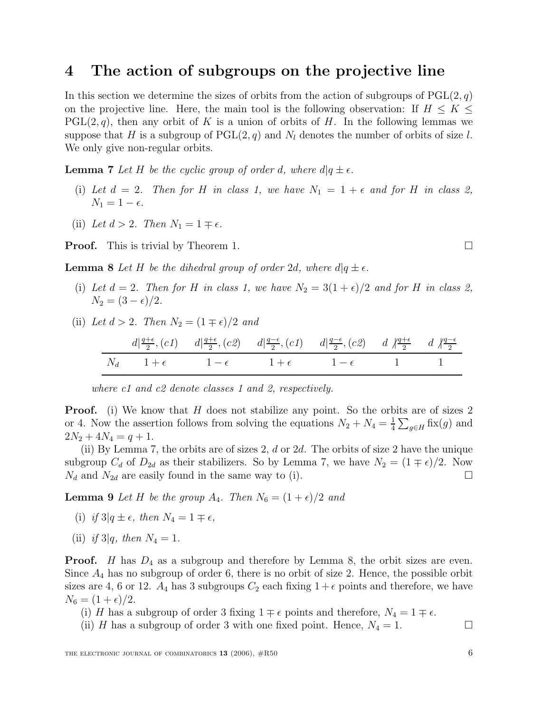### **4 The action of subgroups on the projective line**

In this section we determine the sizes of orbits from the action of subgroups of  $PGL(2, q)$ on the projective line. Here, the main tool is the following observation: If  $H \leq K \leq$  $PGL(2,q)$ , then any orbit of K is a union of orbits of H. In the following lemmas we suppose that H is a subgroup of  $PGL(2,q)$  and  $N_l$  denotes the number of orbits of size l. We only give non-regular orbits.

**Lemma 7** Let H be the cyclic group of order d, where  $d|q \pm \epsilon$ .

- (i) Let  $d = 2$ . Then for H in class 1, we have  $N_1 = 1 + \epsilon$  and for H in class 2,  $N_1 = 1 - \epsilon.$
- (ii) Let  $d > 2$ . Then  $N_1 = 1 \mp \epsilon$ .

**Proof.** This is trivial by Theorem 1.

**Lemma 8** Let H be the dihedral group of order 2d, where  $d|q \pm \epsilon$ .

- (i) Let  $d = 2$ . Then for H in class 1, we have  $N_2 = 3(1 + \epsilon)/2$  and for H in class 2,  $N_2 = (3 - \epsilon)/2$ .
- (ii) Let  $d > 2$ . Then  $N_2 = (1 \mp \epsilon)/2$  and

$$
\frac{d\left|\frac{q+\epsilon}{2}, (c1) \quad d\right|\frac{q+\epsilon}{2}, (c2) \quad d\left|\frac{q-\epsilon}{2}, (c1) \quad d\left|\frac{q-\epsilon}{2}, (c2) \quad d\right|\frac{q+\epsilon}{2} \quad d\left|\frac{q-\epsilon}{2}\right|}{1+\epsilon} \frac{1+\epsilon}{1-\epsilon} \frac{1-\epsilon}{1-\epsilon} \frac{1}{1-\epsilon} \frac{1}{1-\epsilon}
$$

where c1 and c2 denote classes 1 and 2, respectively.

**Proof.** (i) We know that H does not stabilize any point. So the orbits are of sizes 2 or 4. Now the assertion follows from solving the equations  $N_2 + N_4 = \frac{1}{4} \sum_{g \in H}$  fix(g) and  $2N_2 + 4N_4 = q + 1.$ 

(ii) By Lemma 7, the orbits are of sizes 2,  $d$  or 2 $d$ . The orbits of size 2 have the unique subgroup  $C_d$  of  $D_{2d}$  as their stabilizers. So by Lemma 7, we have  $N_2 = (1 \mp \epsilon)/2$ . Now  $N_d$  and  $N_{2d}$  are easily found in the same way to (i).

**Lemma 9** Let H be the group  $A_4$ . Then  $N_6 = (1 + \epsilon)/2$  and

- (i) if  $3|q \pm \epsilon$ , then  $N_4 = 1 \mp \epsilon$ ,
- (ii) if 3|q, then  $N_4 = 1$ .

**Proof.** H has  $D_4$  as a subgroup and therefore by Lemma 8, the orbit sizes are even. Since  $A_4$  has no subgroup of order 6, there is no orbit of size 2. Hence, the possible orbit sizes are 4, 6 or 12.  $A_4$  has 3 subgroups  $C_2$  each fixing  $1+\epsilon$  points and therefore, we have  $N_6 = (1 + \epsilon)/2.$ 

- (i) H has a subgroup of order 3 fixing  $1 \mp \epsilon$  points and therefore,  $N_4 = 1 \mp \epsilon$ .
- (ii) H has a subgroup of order 3 with one fixed point. Hence,  $N_4 = 1$ .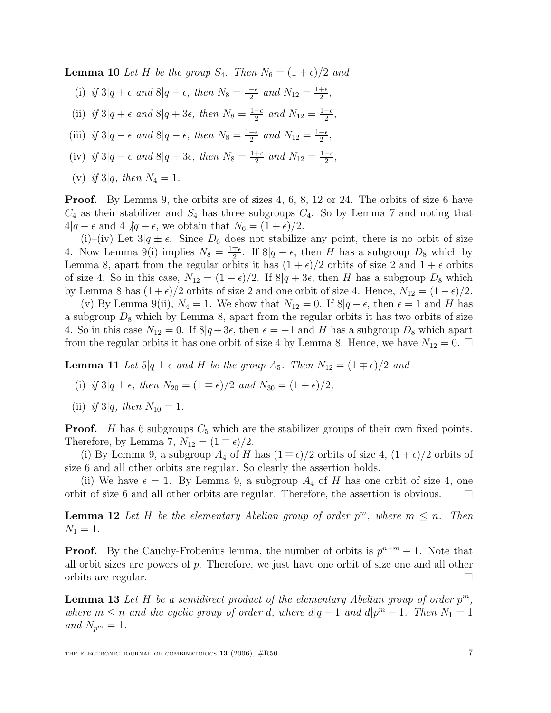**Lemma 10** Let H be the group  $S_4$ . Then  $N_6 = (1 + \epsilon)/2$  and

- (i) if  $3|q+\epsilon$  and  $8|q-\epsilon$ , then  $N_8=\frac{1-\epsilon}{2}$  and  $N_{12}=\frac{1+\epsilon}{2}$ ,
- (ii) if  $3|q + \epsilon$  and  $8|q + 3\epsilon$ , then  $N_8 = \frac{1-\epsilon}{2}$  and  $N_{12} = \frac{1-\epsilon}{2}$ ,
- (iii) if  $3|q \epsilon$  and  $8|q \epsilon$ , then  $N_8 = \frac{1+\epsilon}{2}$  and  $N_{12} = \frac{1+\epsilon}{2}$ ,
- (iv) if  $3|q \epsilon$  and  $8|q + 3\epsilon$ , then  $N_8 = \frac{1+\epsilon}{2}$  and  $N_{12} = \frac{1-\epsilon}{2}$ ,
- (v) if 3|q, then  $N_4 = 1$ .

**Proof.** By Lemma 9, the orbits are of sizes 4, 6, 8, 12 or 24. The orbits of size 6 have  $C_4$  as their stabilizer and  $S_4$  has three subgroups  $C_4$ . So by Lemma 7 and noting that  $4|q - \epsilon$  and  $4 \nvert q + \epsilon$ , we obtain that  $N_6 = (1 + \epsilon)/2$ .

(i)–(iv) Let  $3|q \pm \epsilon$ . Since  $D_6$  does not stabilize any point, there is no orbit of size 4. Now Lemma 9(i) implies  $N_8 = \frac{1 \pm \epsilon}{2}$ . If  $8|q - \epsilon$ , then H has a subgroup  $D_8$  which by Lemma 8, apart from the regular orbits it has  $(1 + \epsilon)/2$  orbits of size 2 and  $1 + \epsilon$  orbits of size 4. So in this case,  $N_{12} = (1 + \epsilon)/2$ . If  $8|q + 3\epsilon$ , then H has a subgroup  $D_8$  which by Lemma 8 has  $(1 + \epsilon)/2$  orbits of size 2 and one orbit of size 4. Hence,  $N_{12} = (1 - \epsilon)/2$ .

(v) By Lemma 9(ii),  $N_4 = 1$ . We show that  $N_{12} = 0$ . If  $8|q - \epsilon$ , then  $\epsilon = 1$  and H has a subgroup  $D_8$  which by Lemma 8, apart from the regular orbits it has two orbits of size 4. So in this case  $N_{12} = 0$ . If  $8|q+3\epsilon$ , then  $\epsilon = -1$  and H has a subgroup  $D_8$  which apart from the regular orbits it has one orbit of size 4 by Lemma 8. Hence, we have  $N_{12} = 0$ .  $\Box$ 

**Lemma 11** Let  $5|q \pm \epsilon$  and H be the group  $A_5$ . Then  $N_{12} = (1 \mp \epsilon)/2$  and

- (i) if  $3|q \pm \epsilon$ , then  $N_{20} = (1 \mp \epsilon)/2$  and  $N_{30} = (1 + \epsilon)/2$ ,
- (ii) if 3|q, then  $N_{10} = 1$ .

**Proof.** H has 6 subgroups  $C_5$  which are the stabilizer groups of their own fixed points. Therefore, by Lemma 7,  $N_{12} = (1 \mp \epsilon)/2$ .

(i) By Lemma 9, a subgroup  $A_4$  of H has  $(1 \mp \epsilon)/2$  orbits of size 4,  $(1 + \epsilon)/2$  orbits of size 6 and all other orbits are regular. So clearly the assertion holds.

(ii) We have  $\epsilon = 1$ . By Lemma 9, a subgroup  $A_4$  of H has one orbit of size 4, one orbit of size 6 and all other orbits are regular. Therefore, the assertion is obvious.  $\Box$ 

**Lemma 12** Let H be the elementary Abelian group of order  $p^m$ , where  $m \leq n$ . Then  $N_1 = 1$ .

**Proof.** By the Cauchy-Frobenius lemma, the number of orbits is  $p^{n-m} + 1$ . Note that all orbit sizes are powers of p. Therefore, we just have one orbit of size one and all other orbits are regular.  $\Box$ 

**Lemma 13** Let H be a semidirect product of the elementary Abelian group of order  $p^m$ , where  $m \le n$  and the cyclic group of order d, where  $d|q-1$  and  $d|p^m-1$ . Then  $N_1 = 1$ and  $N_{p^m}=1$ .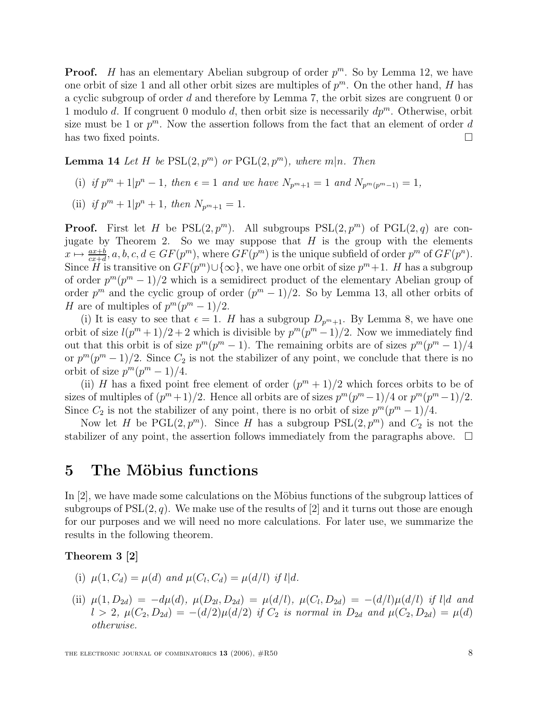**Proof.** H has an elementary Abelian subgroup of order  $p^m$ . So by Lemma 12, we have one orbit of size 1 and all other orbit sizes are multiples of  $p^m$ . On the other hand, H has a cyclic subgroup of order d and therefore by Lemma 7, the orbit sizes are congruent 0 or 1 modulo d. If congruent 0 modulo d, then orbit size is necessarily  $dp^m$ . Otherwise, orbit size must be 1 or  $p^m$ . Now the assertion follows from the fact that an element of order d has two fixed points.

**Lemma 14** Let H be  $PSL(2, p^m)$  or  $PGL(2, p^m)$ , where  $m|n$ . Then

- (i) if  $p^m + 1|p^n 1$ , then  $\epsilon = 1$  and we have  $N_{p^m+1} = 1$  and  $N_{p^m(p^m-1)} = 1$ ,
- (ii) if  $p^m + 1|p^n + 1$ , then  $N_{p^m+1} = 1$ .

**Proof.** First let H be  $PSL(2, p^m)$ . All subgroups  $PSL(2, p^m)$  of  $PGL(2, q)$  are conjugate by Theorem 2. So we may suppose that  $H$  is the group with the elements  $x \mapsto \frac{ax+b}{cx+d}, a, b, c, d \in GF(p^m)$ , where  $GF(p^m)$  is the unique subfield of order  $p^m$  of  $GF(p^n)$ . Since H is transitive on  $GF(p^m) \cup \{\infty\}$ , we have one orbit of size  $p^m + 1$ . H has a subgroup of order  $p^m(p^m-1)/2$  which is a semidirect product of the elementary Abelian group of order  $p^m$  and the cyclic group of order  $(p^m - 1)/2$ . So by Lemma 13, all other orbits of H are of multiples of  $p^m(p^m-1)/2$ .

(i) It is easy to see that  $\epsilon = 1$ . H has a subgroup  $D_{p^m+1}$ . By Lemma 8, we have one orbit of size  $l(p^m + 1)/2 + 2$  which is divisible by  $p^m(p^m - 1)/2$ . Now we immediately find out that this orbit is of size  $p^m(p^m-1)$ . The remaining orbits are of sizes  $p^m(p^m-1)/4$ or  $p^{m}(p^{m}-1)/2$ . Since  $C_2$  is not the stabilizer of any point, we conclude that there is no orbit of size  $p^m(p^m-1)/4$ .

(ii) H has a fixed point free element of order  $(p^m + 1)/2$  which forces orbits to be of sizes of multiples of  $(p^m+1)/2$ . Hence all orbits are of sizes  $p^m(p^m-1)/4$  or  $p^m(p^m-1)/2$ . Since  $C_2$  is not the stabilizer of any point, there is no orbit of size  $p^m(p^m-1)/4$ .

Now let H be  $PGL(2, p^m)$ . Since H has a subgroup  $PSL(2, p^m)$  and  $C_2$  is not the stabilizer of any point, the assertion follows immediately from the paragraphs above.  $\Box$ 

### **5** The Möbius functions

In  $[2]$ , we have made some calculations on the Möbius functions of the subgroup lattices of subgroups of  $PSL(2, q)$ . We make use of the results of [2] and it turns out those are enough for our purposes and we will need no more calculations. For later use, we summarize the results in the following theorem.

**Theorem 3 [2]**

- (i)  $\mu(1, C_d) = \mu(d)$  and  $\mu(C_l, C_d) = \mu(d/l)$  if l|d.
- (ii)  $\mu(1, D_{2d}) = -d\mu(d), \ \mu(D_{2l}, D_{2d}) = \mu(d/l), \ \mu(C_l, D_{2d}) = -(d/l)\mu(d/l)$  if l|d and  $l > 2$ ,  $\mu(C_2, D_{2d}) = -(d/2)\mu(d/2)$  if  $C_2$  is normal in  $D_{2d}$  and  $\mu(C_2, D_{2d}) = \mu(d)$ otherwise.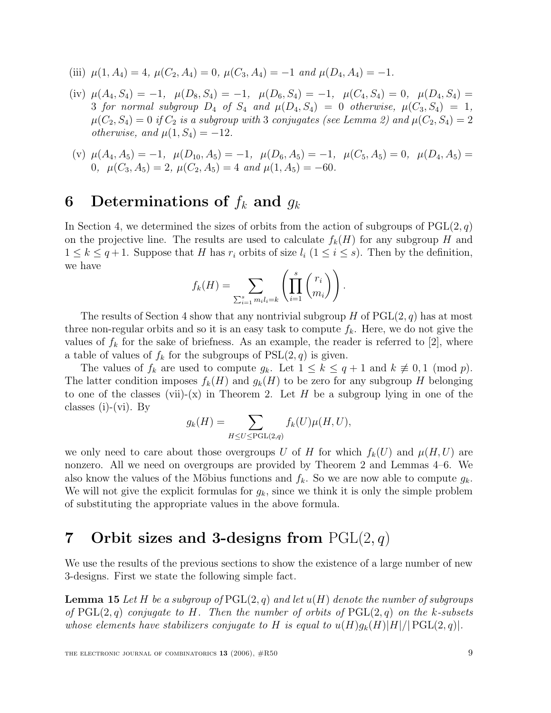- (iii)  $\mu(1, A_4) = 4$ ,  $\mu(C_2, A_4) = 0$ ,  $\mu(C_3, A_4) = -1$  and  $\mu(D_4, A_4) = -1$ .
- (iv)  $\mu(A_4, S_4) = -1$ ,  $\mu(D_8, S_4) = -1$ ,  $\mu(D_6, S_4) = -1$ ,  $\mu(C_4, S_4) = 0$ ,  $\mu(D_4, S_4) =$ 3 for normal subgroup  $D_4$  of  $S_4$  and  $\mu(D_4, S_4)=0$  otherwise,  $\mu(C_3, S_4)=1$ ,  $\mu(C_2, S_4)=0$  if  $C_2$  is a subgroup with 3 conjugates (see Lemma 2) and  $\mu(C_2, S_4)=2$ otherwise, and  $\mu(1, S_4) = -12$ .
- (v)  $\mu(A_4, A_5) = -1$ ,  $\mu(D_{10}, A_5) = -1$ ,  $\mu(D_6, A_5) = -1$ ,  $\mu(C_5, A_5) = 0$ ,  $\mu(D_4, A_5) =$ 0,  $\mu(C_3, A_5)=2$ ,  $\mu(C_2, A_5)=4$  and  $\mu(1, A_5)=-60$ .

# **6** Determinations of  $f_k$  and  $g_k$

In Section 4, we determined the sizes of orbits from the action of subgroups of  $PGL(2, q)$ on the projective line. The results are used to calculate  $f_k(H)$  for any subgroup H and  $1 \leq k \leq q+1$ . Suppose that H has  $r_i$  orbits of size  $l_i$   $(1 \leq i \leq s)$ . Then by the definition, we have

$$
f_k(H) = \sum_{\sum_{i=1}^s m_i l_i = k} \left( \prod_{i=1}^s \binom{r_i}{m_i} \right).
$$

The results of Section 4 show that any nontrivial subgroup H of  $PGL(2, q)$  has at most three non-regular orbits and so it is an easy task to compute  $f_k$ . Here, we do not give the values of  $f_k$  for the sake of briefness. As an example, the reader is referred to [2], where a table of values of  $f_k$  for the subgroups of  $PSL(2, q)$  is given.

The values of  $f_k$  are used to compute  $g_k$ . Let  $1 \leq k \leq q+1$  and  $k \not\equiv 0,1 \pmod{p}$ . The latter condition imposes  $f_k(H)$  and  $g_k(H)$  to be zero for any subgroup H belonging to one of the classes (vii)-(x) in Theorem 2. Let H be a subgroup lying in one of the classes (i)-(vi). By

$$
g_k(H) = \sum_{H \le U \le \text{PGL}(2,q)} f_k(U)\mu(H, U),
$$

we only need to care about those overgroups U of H for which  $f_k(U)$  and  $\mu(H, U)$  are nonzero. All we need on overgroups are provided by Theorem 2 and Lemmas 4–6. We also know the values of the Möbius functions and  $f_k$ . So we are now able to compute  $g_k$ . We will not give the explicit formulas for  $g_k$ , since we think it is only the simple problem of substituting the appropriate values in the above formula.

# **7 Orbit sizes and 3-designs from** PGL(2, q)

We use the results of the previous sections to show the existence of a large number of new 3-designs. First we state the following simple fact.

**Lemma 15** Let H be a subgroup of  $PGL(2,q)$  and let  $u(H)$  denote the number of subgroups of  $PGL(2,q)$  conjugate to H. Then the number of orbits of  $PGL(2,q)$  on the k-subsets whose elements have stabilizers conjugate to H is equal to  $u(H)g_k(H)|H|/|PGL(2,q)|$ .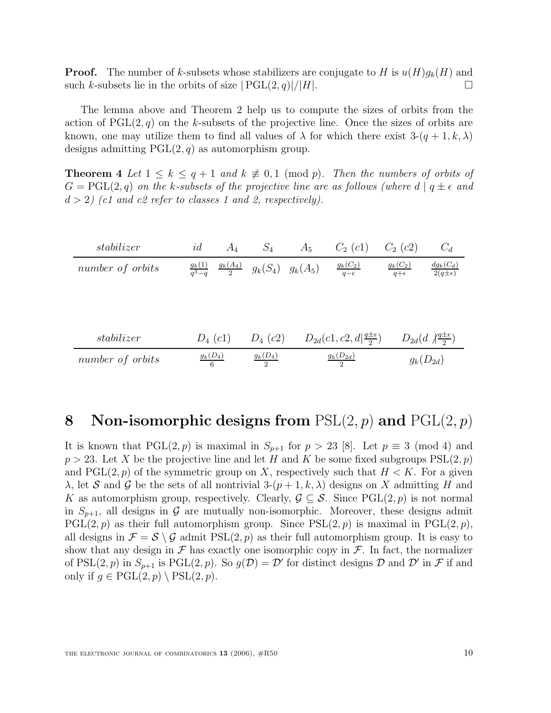**Proof.** The number of k-subsets whose stabilizers are conjugate to H is  $u(H)g_k(H)$  and such k-subsets lie in the orbits of size  $|PGL(2,q)|/|H|$ .

The lemma above and Theorem 2 help us to compute the sizes of orbits from the action of  $PGL(2, q)$  on the k-subsets of the projective line. Once the sizes of orbits are known, one may utilize them to find all values of  $\lambda$  for which there exist  $3-(q+1,k,\lambda)$ designs admitting  $PGL(2, q)$  as automorphism group.

**Theorem 4** Let  $1 \leq k \leq q+1$  and  $k \not\equiv 0,1 \pmod{p}$ . Then the numbers of orbits of  $G = \text{PGL}(2,q)$  on the k-subsets of the projective line are as follows (where  $d | q \pm \epsilon$  and  $d > 2$ ) (c1 and c2 refer to classes 1 and 2, respectively).

| stabilizer       | id                     | $A_4$      | $S_4$      | $A_5$                 | $C_2$ (c1)                                       | $C_2(c2)$                  | $C_d$                                     |
|------------------|------------------------|------------|------------|-----------------------|--------------------------------------------------|----------------------------|-------------------------------------------|
| number of orbits | $\frac{g_k(1)}{a^3-a}$ | $g_k(A_4)$ |            | $g_k(S_4)$ $g_k(A_5)$ | $g_k(C_2)$<br>$q-\epsilon$                       | $g_k(C_2)$<br>$q+\epsilon$ | $\frac{dg_k(C_d)}{2(q\pm\epsilon)}$       |
|                  |                        |            |            |                       |                                                  |                            |                                           |
|                  |                        |            |            |                       |                                                  |                            |                                           |
|                  |                        |            |            |                       |                                                  |                            |                                           |
| stabilizer       |                        | $D_4(c1)$  | $D_4(c2)$  |                       | $D_{2d}(c_1, c_2, d   \frac{q \pm \epsilon}{2})$ |                            | $D_{2d}(d \sqrt{\frac{q\pm\epsilon}{2}})$ |
| number of orbits | $\frac{g_k(D_4)}{6}$   |            | $g_k(D_4)$ |                       | $g_k(D_{2d})$                                    |                            | $g_k(D_{2d})$                             |

# **8 Non-isomorphic designs from** PSL(2, p) **and** PGL(2, p)

It is known that  $PGL(2, p)$  is maximal in  $S_{p+1}$  for  $p > 23$  [8]. Let  $p \equiv 3 \pmod{4}$  and  $p > 23$ . Let X be the projective line and let H and K be some fixed subgroups  $PSL(2, p)$ and  $PGL(2, p)$  of the symmetric group on X, respectively such that  $H < K$ . For a given  $\lambda$ , let S and G be the sets of all nontrivial 3- $(p+1, k, \lambda)$  designs on X admitting H and K as automorphism group, respectively. Clearly,  $\mathcal{G} \subseteq \mathcal{S}$ . Since PGL(2, p) is not normal in  $S_{p+1}$ , all designs in G are mutually non-isomorphic. Moreover, these designs admit  $PGL(2, p)$  as their full automorphism group. Since  $PSL(2, p)$  is maximal in  $PGL(2, p)$ , all designs in  $\mathcal{F} = \mathcal{S} \setminus \mathcal{G}$  admit  $PSL(2, p)$  as their full automorphism group. It is easy to show that any design in  $\mathcal F$  has exactly one isomorphic copy in  $\mathcal F$ . In fact, the normalizer of PSL(2, p) in  $S_{p+1}$  is PGL(2, p). So  $g(\mathcal{D}) = \mathcal{D}'$  for distinct designs  $\mathcal D$  and  $\mathcal D'$  in  $\mathcal F$  if and only if  $q \in \text{PGL}(2, p) \setminus \text{PSL}(2, p)$ .